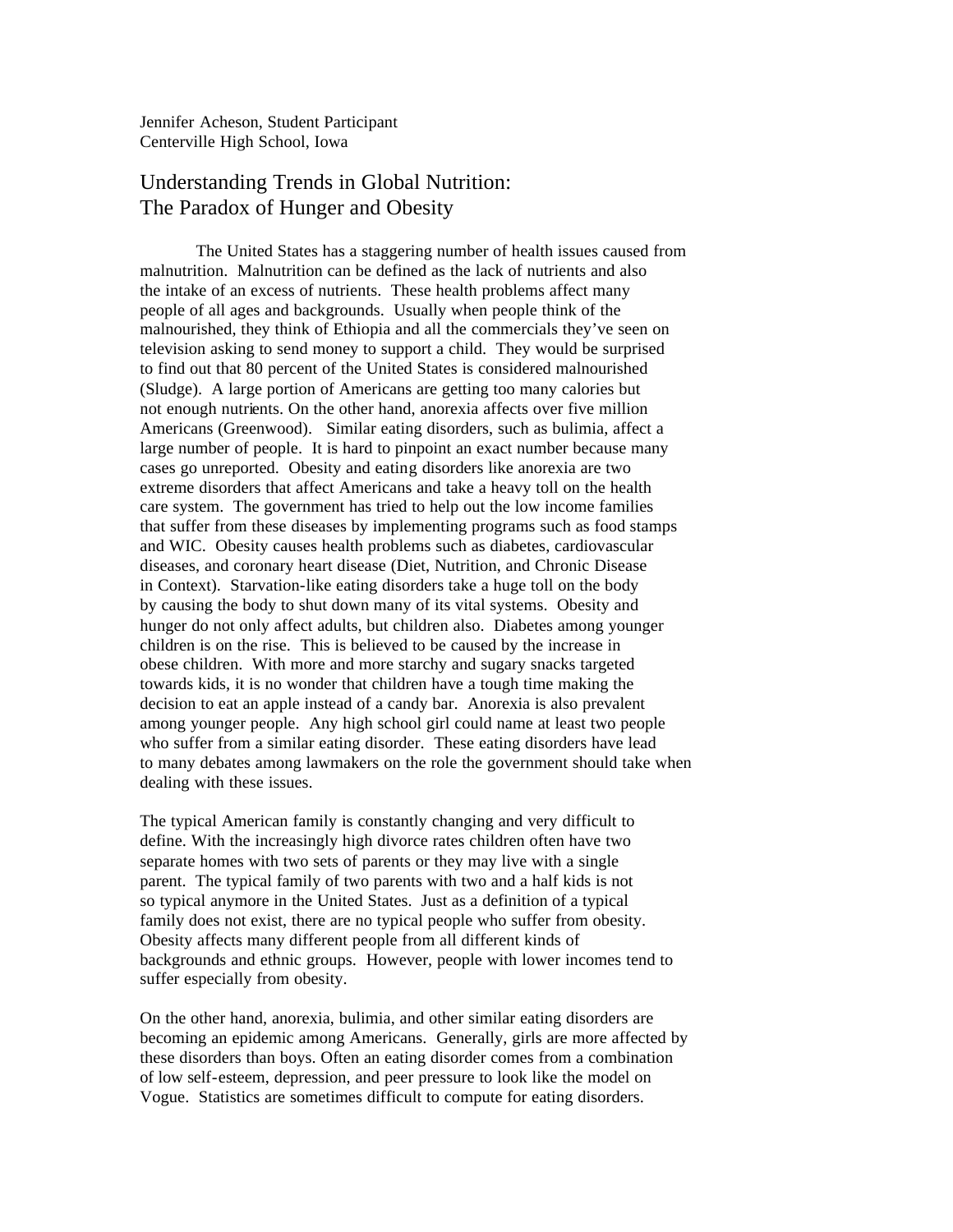Jennifer Acheson, Student Participant Centerville High School, Iowa

## Understanding Trends in Global Nutrition: The Paradox of Hunger and Obesity

The United States has a staggering number of health issues caused from malnutrition. Malnutrition can be defined as the lack of nutrients and also the intake of an excess of nutrients. These health problems affect many people of all ages and backgrounds. Usually when people think of the malnourished, they think of Ethiopia and all the commercials they've seen on television asking to send money to support a child. They would be surprised to find out that 80 percent of the United States is considered malnourished (Sludge). A large portion of Americans are getting too many calories but not enough nutrients. On the other hand, anorexia affects over five million Americans (Greenwood). Similar eating disorders, such as bulimia, affect a large number of people. It is hard to pinpoint an exact number because many cases go unreported. Obesity and eating disorders like anorexia are two extreme disorders that affect Americans and take a heavy toll on the health care system. The government has tried to help out the low income families that suffer from these diseases by implementing programs such as food stamps and WIC. Obesity causes health problems such as diabetes, cardiovascular diseases, and coronary heart disease (Diet, Nutrition, and Chronic Disease in Context). Starvation-like eating disorders take a huge toll on the body by causing the body to shut down many of its vital systems. Obesity and hunger do not only affect adults, but children also. Diabetes among younger children is on the rise. This is believed to be caused by the increase in obese children. With more and more starchy and sugary snacks targeted towards kids, it is no wonder that children have a tough time making the decision to eat an apple instead of a candy bar. Anorexia is also prevalent among younger people. Any high school girl could name at least two people who suffer from a similar eating disorder. These eating disorders have lead to many debates among lawmakers on the role the government should take when dealing with these issues.

The typical American family is constantly changing and very difficult to define. With the increasingly high divorce rates children often have two separate homes with two sets of parents or they may live with a single parent. The typical family of two parents with two and a half kids is not so typical anymore in the United States. Just as a definition of a typical family does not exist, there are no typical people who suffer from obesity. Obesity affects many different people from all different kinds of backgrounds and ethnic groups. However, people with lower incomes tend to suffer especially from obesity.

On the other hand, anorexia, bulimia, and other similar eating disorders are becoming an epidemic among Americans. Generally, girls are more affected by these disorders than boys. Often an eating disorder comes from a combination of low self-esteem, depression, and peer pressure to look like the model on Vogue. Statistics are sometimes difficult to compute for eating disorders.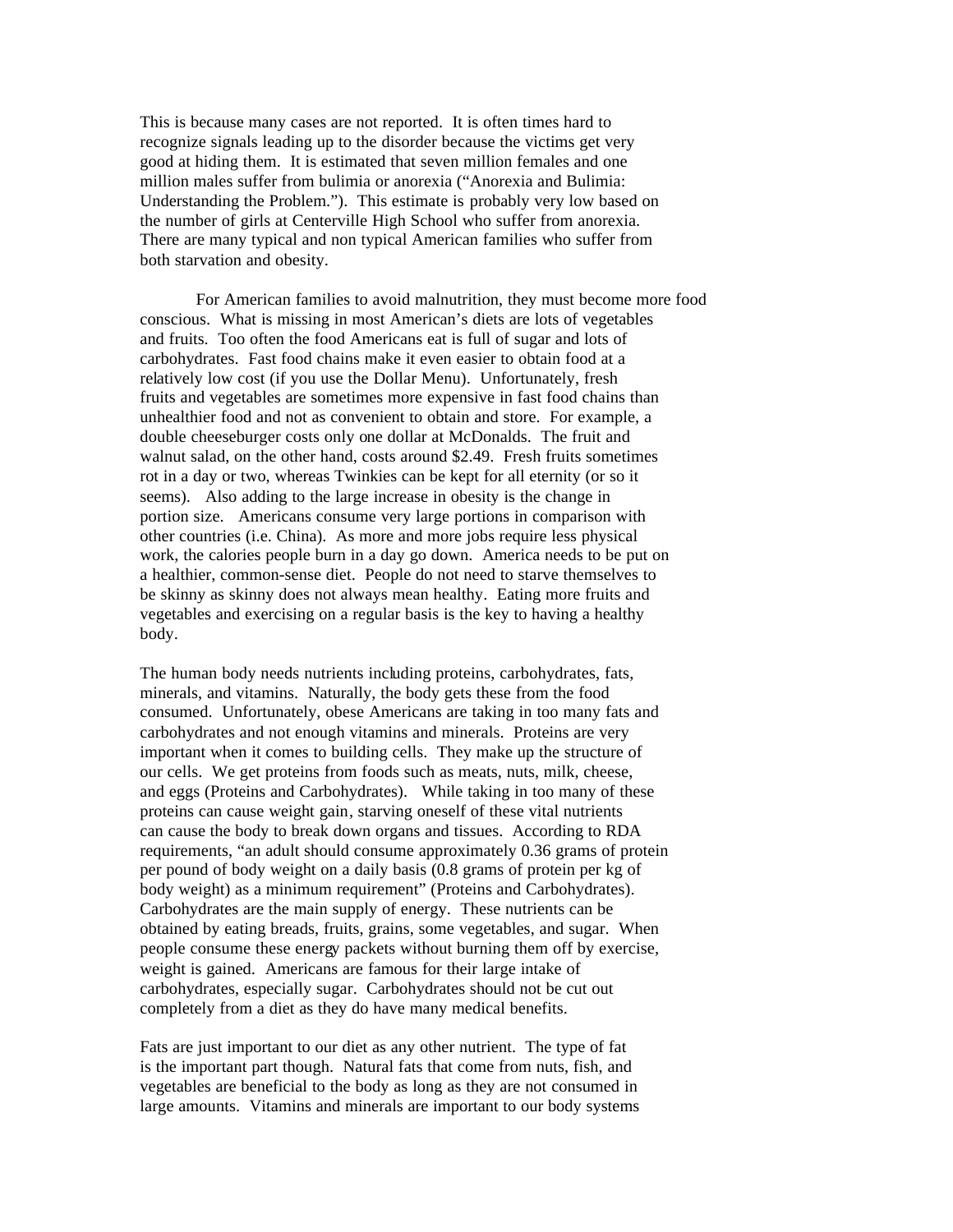This is because many cases are not reported. It is often times hard to recognize signals leading up to the disorder because the victims get very good at hiding them. It is estimated that seven million females and one million males suffer from bulimia or anorexia ("Anorexia and Bulimia: Understanding the Problem."). This estimate is probably very low based on the number of girls at Centerville High School who suffer from anorexia. There are many typical and non typical American families who suffer from both starvation and obesity.

For American families to avoid malnutrition, they must become more food conscious. What is missing in most American's diets are lots of vegetables and fruits. Too often the food Americans eat is full of sugar and lots of carbohydrates. Fast food chains make it even easier to obtain food at a relatively low cost (if you use the Dollar Menu). Unfortunately, fresh fruits and vegetables are sometimes more expensive in fast food chains than unhealthier food and not as convenient to obtain and store. For example, a double cheeseburger costs only one dollar at McDonalds. The fruit and walnut salad, on the other hand, costs around \$2.49. Fresh fruits sometimes rot in a day or two, whereas Twinkies can be kept for all eternity (or so it seems). Also adding to the large increase in obesity is the change in portion size. Americans consume very large portions in comparison with other countries (i.e. China). As more and more jobs require less physical work, the calories people burn in a day go down. America needs to be put on a healthier, common-sense diet. People do not need to starve themselves to be skinny as skinny does not always mean healthy. Eating more fruits and vegetables and exercising on a regular basis is the key to having a healthy body.

The human body needs nutrients including proteins, carbohydrates, fats, minerals, and vitamins. Naturally, the body gets these from the food consumed. Unfortunately, obese Americans are taking in too many fats and carbohydrates and not enough vitamins and minerals. Proteins are very important when it comes to building cells. They make up the structure of our cells. We get proteins from foods such as meats, nuts, milk, cheese, and eggs (Proteins and Carbohydrates). While taking in too many of these proteins can cause weight gain, starving oneself of these vital nutrients can cause the body to break down organs and tissues. According to RDA requirements, "an adult should consume approximately 0.36 grams of protein per pound of body weight on a daily basis (0.8 grams of protein per kg of body weight) as a minimum requirement" (Proteins and Carbohydrates). Carbohydrates are the main supply of energy. These nutrients can be obtained by eating breads, fruits, grains, some vegetables, and sugar. When people consume these energy packets without burning them off by exercise, weight is gained. Americans are famous for their large intake of carbohydrates, especially sugar. Carbohydrates should not be cut out completely from a diet as they do have many medical benefits.

Fats are just important to our diet as any other nutrient. The type of fat is the important part though. Natural fats that come from nuts, fish, and vegetables are beneficial to the body as long as they are not consumed in large amounts. Vitamins and minerals are important to our body systems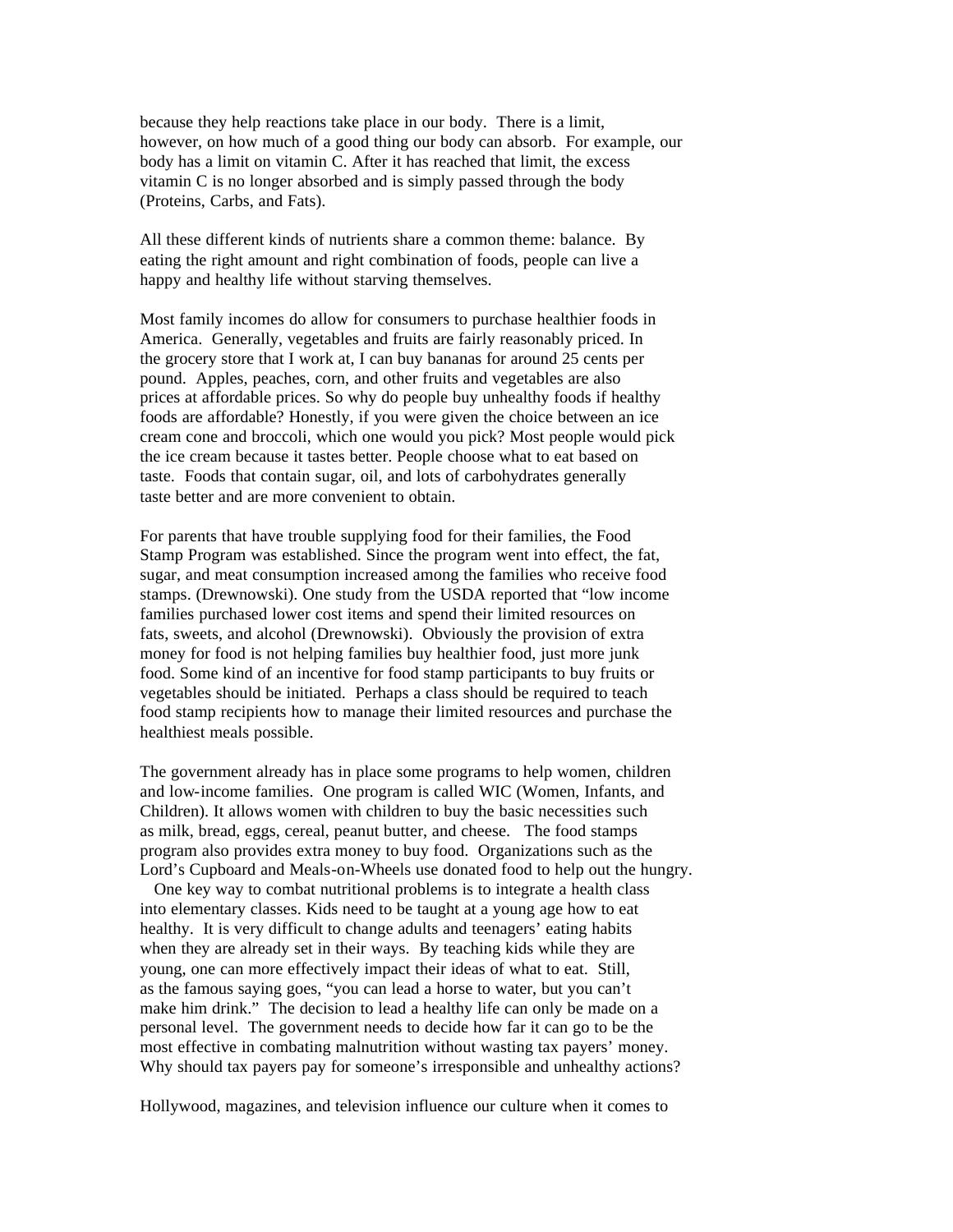because they help reactions take place in our body. There is a limit, however, on how much of a good thing our body can absorb. For example, our body has a limit on vitamin C. After it has reached that limit, the excess vitamin C is no longer absorbed and is simply passed through the body (Proteins, Carbs, and Fats).

All these different kinds of nutrients share a common theme: balance. By eating the right amount and right combination of foods, people can live a happy and healthy life without starving themselves.

Most family incomes do allow for consumers to purchase healthier foods in America. Generally, vegetables and fruits are fairly reasonably priced. In the grocery store that I work at, I can buy bananas for around 25 cents per pound. Apples, peaches, corn, and other fruits and vegetables are also prices at affordable prices. So why do people buy unhealthy foods if healthy foods are affordable? Honestly, if you were given the choice between an ice cream cone and broccoli, which one would you pick? Most people would pick the ice cream because it tastes better. People choose what to eat based on taste. Foods that contain sugar, oil, and lots of carbohydrates generally taste better and are more convenient to obtain.

For parents that have trouble supplying food for their families, the Food Stamp Program was established. Since the program went into effect, the fat, sugar, and meat consumption increased among the families who receive food stamps. (Drewnowski). One study from the USDA reported that "low income families purchased lower cost items and spend their limited resources on fats, sweets, and alcohol (Drewnowski). Obviously the provision of extra money for food is not helping families buy healthier food, just more junk food. Some kind of an incentive for food stamp participants to buy fruits or vegetables should be initiated. Perhaps a class should be required to teach food stamp recipients how to manage their limited resources and purchase the healthiest meals possible.

The government already has in place some programs to help women, children and low-income families. One program is called WIC (Women, Infants, and Children). It allows women with children to buy the basic necessities such as milk, bread, eggs, cereal, peanut butter, and cheese. The food stamps program also provides extra money to buy food. Organizations such as the Lord's Cupboard and Meals-on-Wheels use donated food to help out the hungry.

 One key way to combat nutritional problems is to integrate a health class into elementary classes. Kids need to be taught at a young age how to eat healthy. It is very difficult to change adults and teenagers' eating habits when they are already set in their ways. By teaching kids while they are young, one can more effectively impact their ideas of what to eat. Still, as the famous saying goes, "you can lead a horse to water, but you can't make him drink." The decision to lead a healthy life can only be made on a personal level. The government needs to decide how far it can go to be the most effective in combating malnutrition without wasting tax payers' money. Why should tax payers pay for someone's irresponsible and unhealthy actions?

Hollywood, magazines, and television influence our culture when it comes to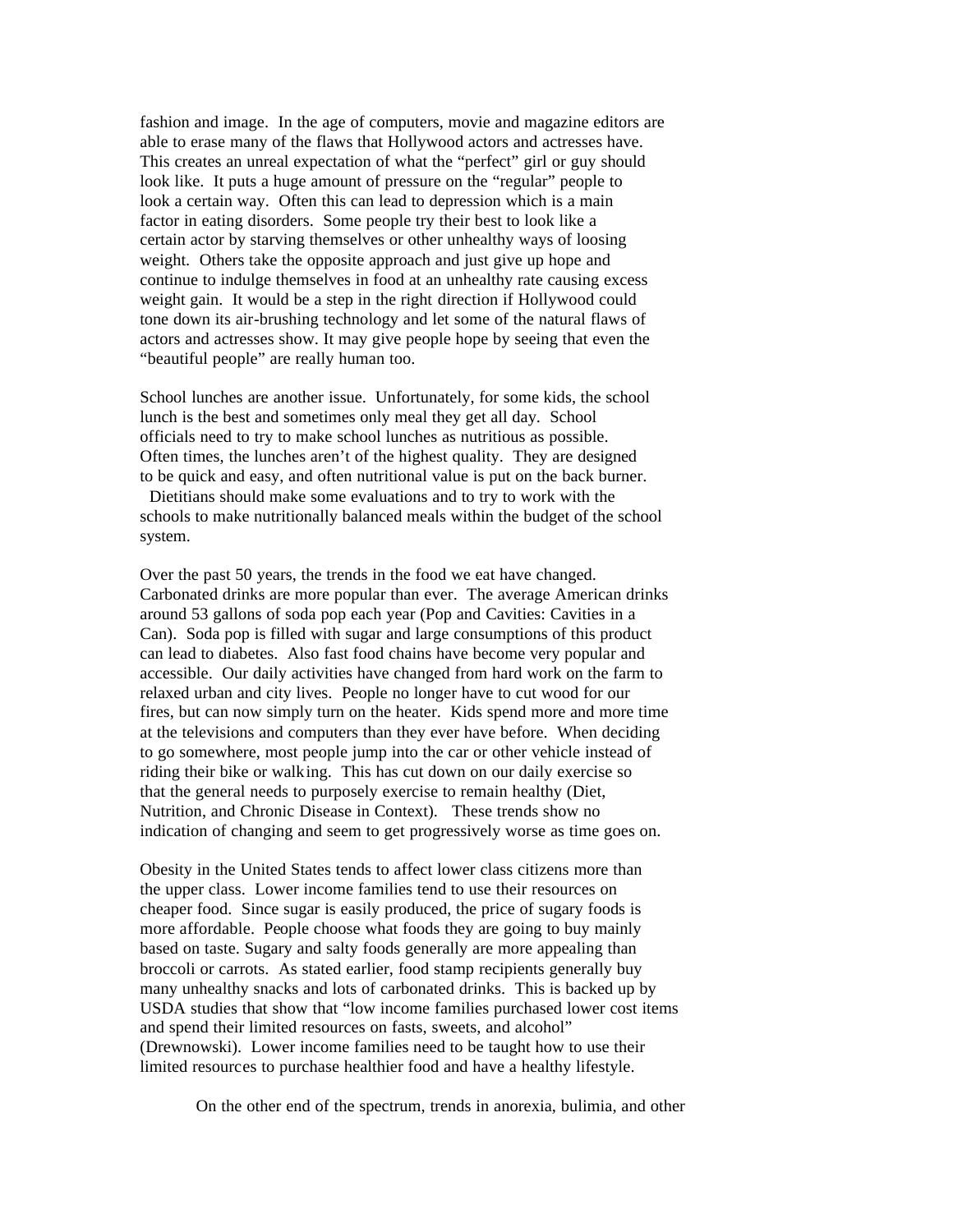fashion and image. In the age of computers, movie and magazine editors are able to erase many of the flaws that Hollywood actors and actresses have. This creates an unreal expectation of what the "perfect" girl or guy should look like. It puts a huge amount of pressure on the "regular" people to look a certain way. Often this can lead to depression which is a main factor in eating disorders. Some people try their best to look like a certain actor by starving themselves or other unhealthy ways of loosing weight. Others take the opposite approach and just give up hope and continue to indulge themselves in food at an unhealthy rate causing excess weight gain. It would be a step in the right direction if Hollywood could tone down its air-brushing technology and let some of the natural flaws of actors and actresses show. It may give people hope by seeing that even the "beautiful people" are really human too.

School lunches are another issue. Unfortunately, for some kids, the school lunch is the best and sometimes only meal they get all day. School officials need to try to make school lunches as nutritious as possible. Often times, the lunches aren't of the highest quality. They are designed to be quick and easy, and often nutritional value is put on the back burner.

 Dietitians should make some evaluations and to try to work with the schools to make nutritionally balanced meals within the budget of the school system.

Over the past 50 years, the trends in the food we eat have changed. Carbonated drinks are more popular than ever. The average American drinks around 53 gallons of soda pop each year (Pop and Cavities: Cavities in a Can). Soda pop is filled with sugar and large consumptions of this product can lead to diabetes. Also fast food chains have become very popular and accessible. Our daily activities have changed from hard work on the farm to relaxed urban and city lives. People no longer have to cut wood for our fires, but can now simply turn on the heater. Kids spend more and more time at the televisions and computers than they ever have before. When deciding to go somewhere, most people jump into the car or other vehicle instead of riding their bike or walking. This has cut down on our daily exercise so that the general needs to purposely exercise to remain healthy (Diet, Nutrition, and Chronic Disease in Context). These trends show no indication of changing and seem to get progressively worse as time goes on.

Obesity in the United States tends to affect lower class citizens more than the upper class. Lower income families tend to use their resources on cheaper food. Since sugar is easily produced, the price of sugary foods is more affordable. People choose what foods they are going to buy mainly based on taste. Sugary and salty foods generally are more appealing than broccoli or carrots. As stated earlier, food stamp recipients generally buy many unhealthy snacks and lots of carbonated drinks. This is backed up by USDA studies that show that "low income families purchased lower cost items and spend their limited resources on fasts, sweets, and alcohol" (Drewnowski). Lower income families need to be taught how to use their limited resources to purchase healthier food and have a healthy lifestyle.

On the other end of the spectrum, trends in anorexia, bulimia, and other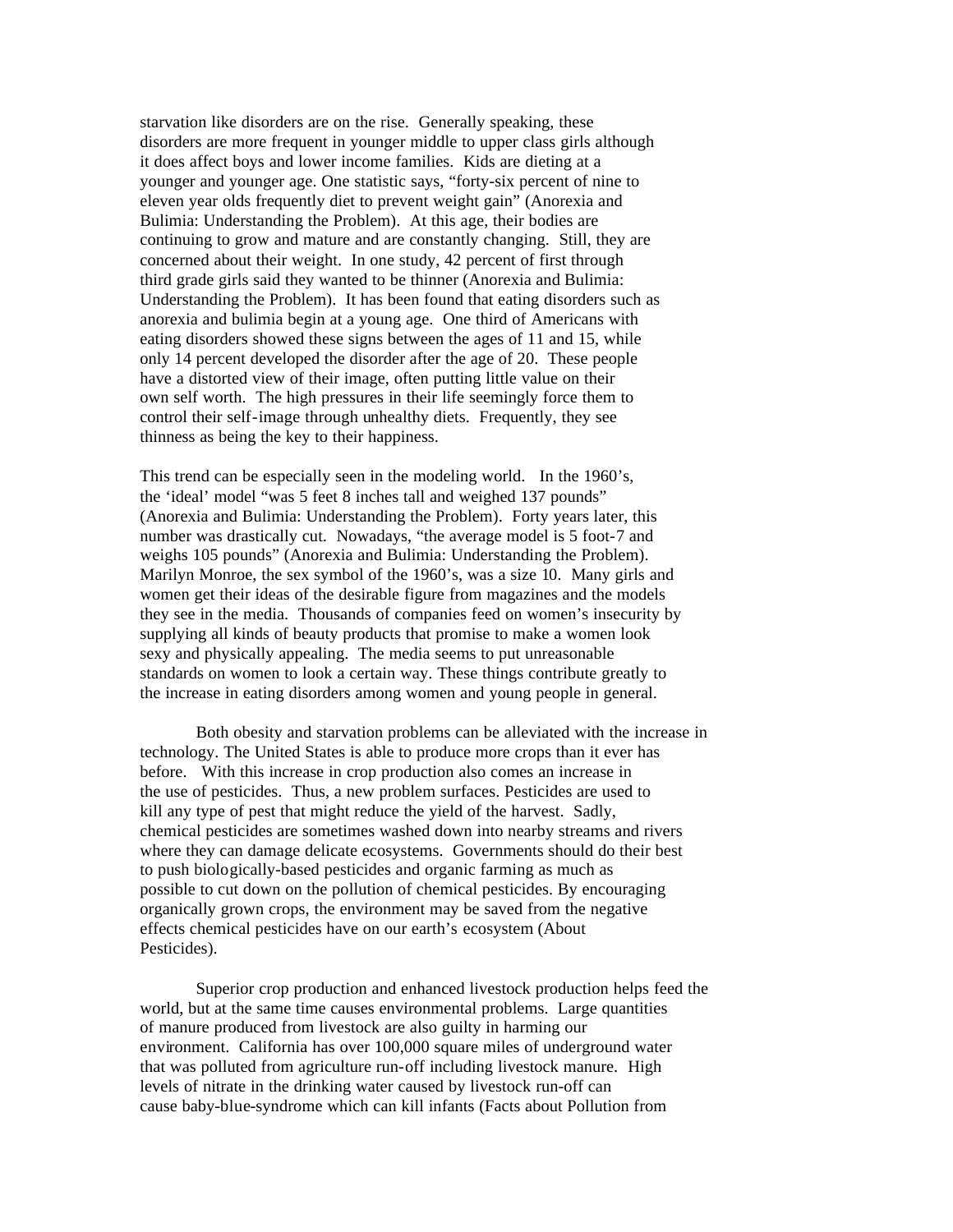starvation like disorders are on the rise. Generally speaking, these disorders are more frequent in younger middle to upper class girls although it does affect boys and lower income families. Kids are dieting at a younger and younger age. One statistic says, "forty-six percent of nine to eleven year olds frequently diet to prevent weight gain" (Anorexia and Bulimia: Understanding the Problem). At this age, their bodies are continuing to grow and mature and are constantly changing. Still, they are concerned about their weight. In one study, 42 percent of first through third grade girls said they wanted to be thinner (Anorexia and Bulimia: Understanding the Problem). It has been found that eating disorders such as anorexia and bulimia begin at a young age. One third of Americans with eating disorders showed these signs between the ages of 11 and 15, while only 14 percent developed the disorder after the age of 20. These people have a distorted view of their image, often putting little value on their own self worth. The high pressures in their life seemingly force them to control their self-image through unhealthy diets. Frequently, they see thinness as being the key to their happiness.

This trend can be especially seen in the modeling world. In the 1960's, the 'ideal' model "was 5 feet 8 inches tall and weighed 137 pounds" (Anorexia and Bulimia: Understanding the Problem). Forty years later, this number was drastically cut. Nowadays, "the average model is 5 foot-7 and weighs 105 pounds" (Anorexia and Bulimia: Understanding the Problem). Marilyn Monroe, the sex symbol of the 1960's, was a size 10. Many girls and women get their ideas of the desirable figure from magazines and the models they see in the media. Thousands of companies feed on women's insecurity by supplying all kinds of beauty products that promise to make a women look sexy and physically appealing. The media seems to put unreasonable standards on women to look a certain way. These things contribute greatly to the increase in eating disorders among women and young people in general.

Both obesity and starvation problems can be alleviated with the increase in technology. The United States is able to produce more crops than it ever has before. With this increase in crop production also comes an increase in the use of pesticides. Thus, a new problem surfaces. Pesticides are used to kill any type of pest that might reduce the yield of the harvest. Sadly, chemical pesticides are sometimes washed down into nearby streams and rivers where they can damage delicate ecosystems. Governments should do their best to push biologically-based pesticides and organic farming as much as possible to cut down on the pollution of chemical pesticides. By encouraging organically grown crops, the environment may be saved from the negative effects chemical pesticides have on our earth's ecosystem (About Pesticides).

Superior crop production and enhanced livestock production helps feed the world, but at the same time causes environmental problems. Large quantities of manure produced from livestock are also guilty in harming our environment. California has over 100,000 square miles of underground water that was polluted from agriculture run-off including livestock manure. High levels of nitrate in the drinking water caused by livestock run-off can cause baby-blue-syndrome which can kill infants (Facts about Pollution from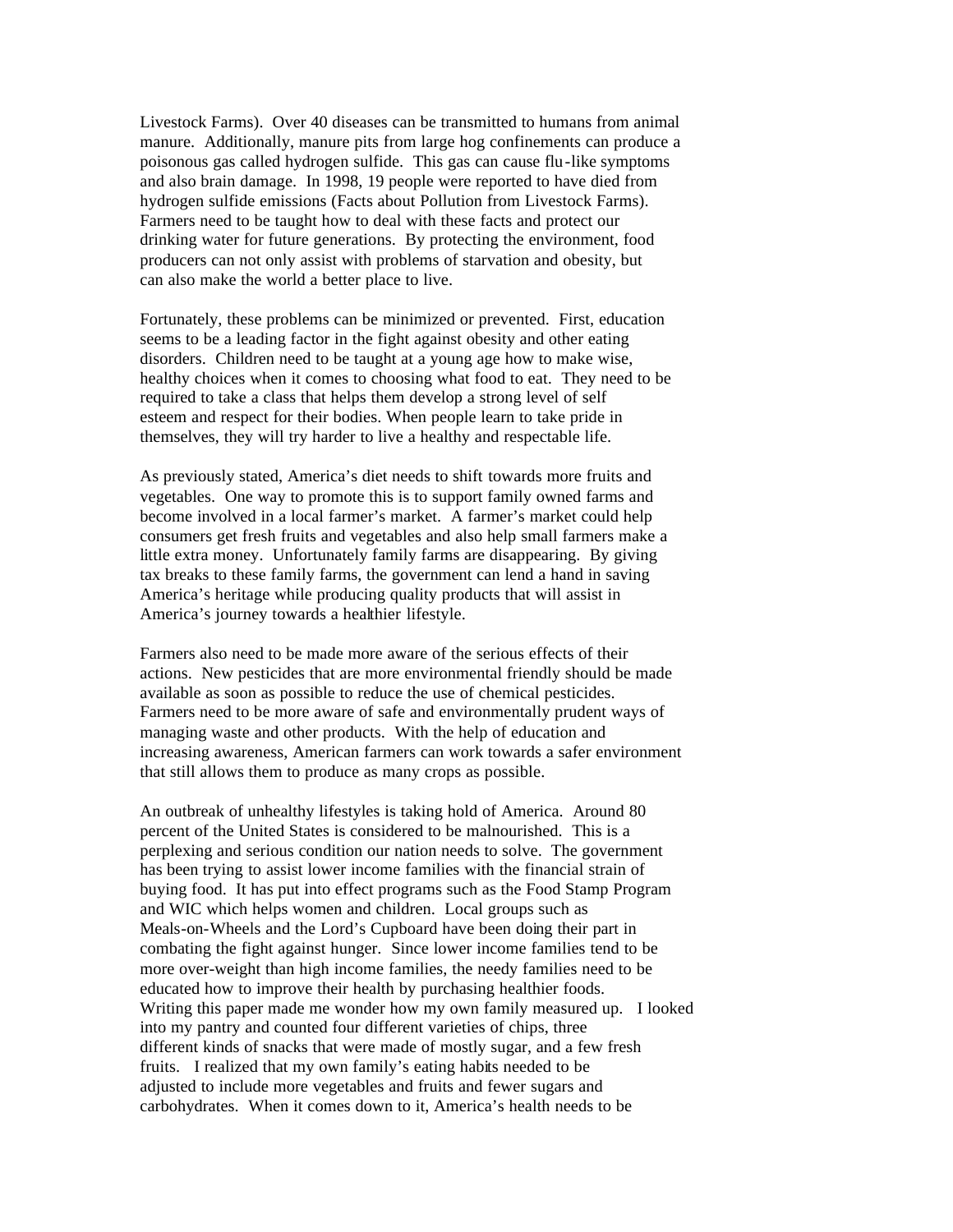Livestock Farms). Over 40 diseases can be transmitted to humans from animal manure. Additionally, manure pits from large hog confinements can produce a poisonous gas called hydrogen sulfide. This gas can cause flu-like symptoms and also brain damage. In 1998, 19 people were reported to have died from hydrogen sulfide emissions (Facts about Pollution from Livestock Farms). Farmers need to be taught how to deal with these facts and protect our drinking water for future generations. By protecting the environment, food producers can not only assist with problems of starvation and obesity, but can also make the world a better place to live.

Fortunately, these problems can be minimized or prevented. First, education seems to be a leading factor in the fight against obesity and other eating disorders. Children need to be taught at a young age how to make wise, healthy choices when it comes to choosing what food to eat. They need to be required to take a class that helps them develop a strong level of self esteem and respect for their bodies. When people learn to take pride in themselves, they will try harder to live a healthy and respectable life.

As previously stated, America's diet needs to shift towards more fruits and vegetables. One way to promote this is to support family owned farms and become involved in a local farmer's market. A farmer's market could help consumers get fresh fruits and vegetables and also help small farmers make a little extra money. Unfortunately family farms are disappearing. By giving tax breaks to these family farms, the government can lend a hand in saving America's heritage while producing quality products that will assist in America's journey towards a healthier lifestyle.

Farmers also need to be made more aware of the serious effects of their actions. New pesticides that are more environmental friendly should be made available as soon as possible to reduce the use of chemical pesticides. Farmers need to be more aware of safe and environmentally prudent ways of managing waste and other products. With the help of education and increasing awareness, American farmers can work towards a safer environment that still allows them to produce as many crops as possible.

An outbreak of unhealthy lifestyles is taking hold of America. Around 80 percent of the United States is considered to be malnourished. This is a perplexing and serious condition our nation needs to solve. The government has been trying to assist lower income families with the financial strain of buying food. It has put into effect programs such as the Food Stamp Program and WIC which helps women and children. Local groups such as Meals-on-Wheels and the Lord's Cupboard have been doing their part in combating the fight against hunger. Since lower income families tend to be more over-weight than high income families, the needy families need to be educated how to improve their health by purchasing healthier foods. Writing this paper made me wonder how my own family measured up. I looked into my pantry and counted four different varieties of chips, three different kinds of snacks that were made of mostly sugar, and a few fresh fruits. I realized that my own family's eating habits needed to be adjusted to include more vegetables and fruits and fewer sugars and carbohydrates. When it comes down to it, America's health needs to be